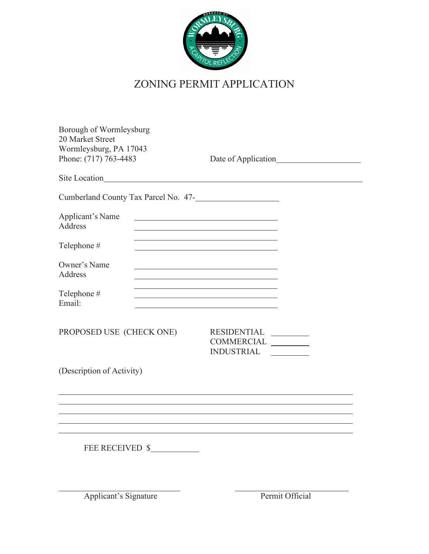

## ZONING PERMIT APPLICATION

| Borough of Wormleysburg<br>20 Market Street<br>Wormleysburg, PA 17043<br>Phone: (717) 763-4483 | Date of Application                                                                                                                                                                        |
|------------------------------------------------------------------------------------------------|--------------------------------------------------------------------------------------------------------------------------------------------------------------------------------------------|
| Site Location                                                                                  |                                                                                                                                                                                            |
|                                                                                                | Cumberland County Tax Parcel No. 47-                                                                                                                                                       |
| Applicant's Name<br>Address                                                                    | <u> 1989 - Johann Stein, marwolaethau a bhann an t-Amhair an t-Amhair an t-Amhair an t-Amhair an t-Amhair an t-A</u>                                                                       |
| Telephone #                                                                                    | the control of the control of the control of the control of the control of the control of the<br>the control of the control of the control of the control of the control of the control of |
| Owner's Name<br>Address                                                                        | the control of the control of the control of the control of the control of the control of                                                                                                  |
| Telephone #<br>Email:                                                                          | <u> 1989 - Johann Stein, mars an deus Amerikaansk kommunister (* 1958)</u><br>the control of the control of the control of the control of the control of the control of                    |
| PROPOSED USE (CHECK ONE)                                                                       | RESIDENTIAL<br>COMMERCIAL<br>INDUSTRIAL                                                                                                                                                    |
| (Description of Activity)                                                                      |                                                                                                                                                                                            |
|                                                                                                |                                                                                                                                                                                            |
| FEE RECEIVED \$                                                                                |                                                                                                                                                                                            |
| <b>Applicant's Signature</b>                                                                   | Permit Official                                                                                                                                                                            |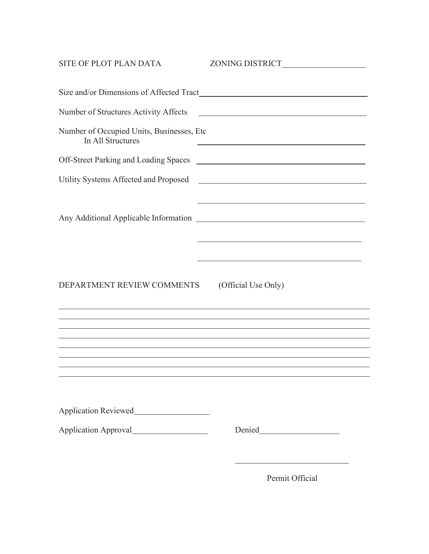| SITE OF PLOT PLAN DATA                                         | ZONING DISTRICT                                                                                                                                                                                                                                                                                |  |  |  |  |  |  |  |  |
|----------------------------------------------------------------|------------------------------------------------------------------------------------------------------------------------------------------------------------------------------------------------------------------------------------------------------------------------------------------------|--|--|--|--|--|--|--|--|
|                                                                |                                                                                                                                                                                                                                                                                                |  |  |  |  |  |  |  |  |
| Number of Structures Activity Affects                          | <u> 1980 - Jan Samuel Barbara, poeta establecea establecea establecea establecea establecea establecea establecea</u>                                                                                                                                                                          |  |  |  |  |  |  |  |  |
| Number of Occupied Units, Businesses, Etc<br>In All Structures | <u> 1989 - Johann Stein, marwolaethau a bhann an t-Albann an t-Albann an t-Albann an t-Albann an t-Albann an t-Al</u>                                                                                                                                                                          |  |  |  |  |  |  |  |  |
|                                                                |                                                                                                                                                                                                                                                                                                |  |  |  |  |  |  |  |  |
| Utility Systems Affected and Proposed                          | <u> 1989 - Johann Barn, fransk politik fotograf (d. 1989)</u>                                                                                                                                                                                                                                  |  |  |  |  |  |  |  |  |
|                                                                | <u> 1989 - Johann Stoff, deutscher Stoff, der Stoff, der Stoff, der Stoff, der Stoff, der Stoff, der Stoff, der S</u>                                                                                                                                                                          |  |  |  |  |  |  |  |  |
| DEPARTMENT REVIEW COMMENTS                                     | (Official Use Only)<br><u> 1989 - Andrea Santa Andrea Andrea Andrea Andrea Andrea Andrea Andrea Andrea Andrea Andrea Andrea Andrea Andr</u><br>,我们也不会有什么。""我们的人,我们也不会有什么?""我们的人,我们也不会有什么?""我们的人,我们也不会有什么?""我们的人,我们也不会有什么?""我们的人<br><u> 1989 - Johann Stoff, amerikansk politiker (d. 1989)</u> |  |  |  |  |  |  |  |  |
|                                                                | ,我们也不会有什么。""我们的人,我们也不会有什么?""我们的人,我们也不会有什么?""我们的人,我们也不会有什么?""我们的人,我们也不会有什么?""我们的人<br><u> 1989 - Andrea Santa Andrea Andrea Andrea Andrea Andrea Andrea Andrea Andrea Andrea Andrea Andrea Andrea Andr</u>                                                                                       |  |  |  |  |  |  |  |  |
|                                                                |                                                                                                                                                                                                                                                                                                |  |  |  |  |  |  |  |  |
|                                                                |                                                                                                                                                                                                                                                                                                |  |  |  |  |  |  |  |  |
|                                                                | <u> 1980 - Johann Barn, mars ann an t-Amhain Aonaich an t-Aonaich an t-Aonaich ann an t-Aonaich ann an t-Aonaich</u><br>$D_{\alpha\beta}$ $\bigcap$ $\bigcap$ $\bigcap$ $\bigcap$ $\bigcap$ $\bigcap$ $\bigcap$ $\bigcap$ $\bigcap$                                                            |  |  |  |  |  |  |  |  |

Permit Official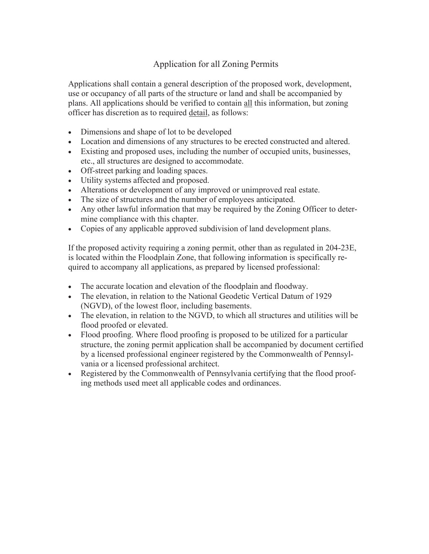## Application for all Zoning Permits

Applications shall contain a general description of the proposed work, development, use or occupancy of all parts of the structure or land and shall be accompanied by plans. All applications should be verified to contain all this information, but zoning officer has discretion as to required detail, as follows:

- Dimensions and shape of lot to be developed
- Location and dimensions of any structures to be erected constructed and altered.
- Existing and proposed uses, including the number of occupied units, businesses, etc., all structures are designed to accommodate.
- Off-street parking and loading spaces.
- Utility systems affected and proposed.
- Alterations or development of any improved or unimproved real estate.
- The size of structures and the number of employees anticipated.
- Any other lawful information that may be required by the Zoning Officer to determine compliance with this chapter.
- Copies of any applicable approved subdivision of land development plans.

If the proposed activity requiring a zoning permit, other than as regulated in 204-23E, is located within the Floodplain Zone, that following information is specifically required to accompany all applications, as prepared by licensed professional:

- The accurate location and elevation of the floodplain and floodway.
- The elevation, in relation to the National Geodetic Vertical Datum of 1929 (NGVD), of the lowest floor, including basements.
- The elevation, in relation to the NGVD, to which all structures and utilities will be flood proofed or elevated.
- Flood proofing. Where flood proofing is proposed to be utilized for a particular structure, the zoning permit application shall be accompanied by document certified by a licensed professional engineer registered by the Commonwealth of Pennsylvania or a licensed professional architect.
- Registered by the Commonwealth of Pennsylvania certifying that the flood proofing methods used meet all applicable codes and ordinances.